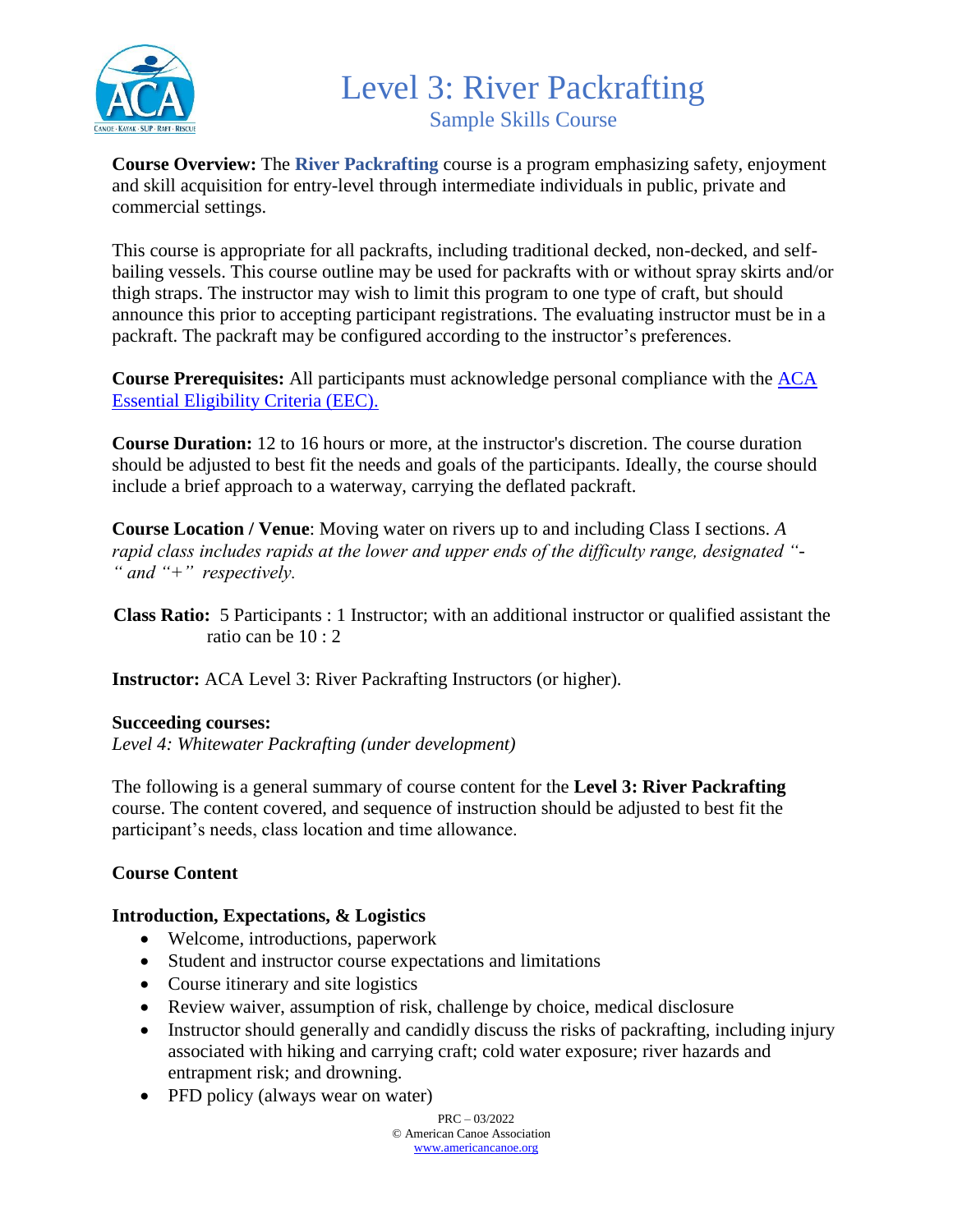

### Level 3: River Packrafting Sample Skills Course

**Course Overview:** The **River Packrafting** course is a program emphasizing safety, enjoyment and skill acquisition for entry-level through intermediate individuals in public, private and commercial settings.

This course is appropriate for all packrafts, including traditional decked, non-decked, and selfbailing vessels. This course outline may be used for packrafts with or without spray skirts and/or thigh straps. The instructor may wish to limit this program to one type of craft, but should announce this prior to accepting participant registrations. The evaluating instructor must be in a packraft. The packraft may be configured according to the instructor's preferences.

**Course Prerequisites:** All participants must acknowledge personal compliance with the [ACA](https://americancanoe.org/essential-eligibility-criteria/)  [Essential Eligibility Criteria \(EEC\).](https://americancanoe.org/essential-eligibility-criteria/)

**Course Duration:** 12 to 16 hours or more, at the instructor's discretion. The course duration should be adjusted to best fit the needs and goals of the participants. Ideally, the course should include a brief approach to a waterway, carrying the deflated packraft.

**Course Location / Venue**: Moving water on rivers up to and including Class I sections. *A rapid class includes rapids at the lower and upper ends of the difficulty range, designated "- " and "+" respectively.*

 **Class Ratio:** 5 Participants : 1 Instructor; with an additional instructor or qualified assistant the ratio can be 10 : 2

**Instructor:** ACA Level 3: River Packrafting Instructors (or higher).

### **Succeeding courses:**

*Level 4: Whitewater Packrafting (under development)*

The following is a general summary of course content for the **Level 3: River Packrafting** course. The content covered, and sequence of instruction should be adjusted to best fit the participant's needs, class location and time allowance.

### **Course Content**

### **Introduction, Expectations, & Logistics**

- Welcome, introductions, paperwork
- Student and instructor course expectations and limitations
- Course itinerary and site logistics
- Review waiver, assumption of risk, challenge by choice, medical disclosure
- Instructor should generally and candidly discuss the risks of packrafting, including injury associated with hiking and carrying craft; cold water exposure; river hazards and entrapment risk; and drowning.
- PFD policy (always wear on water)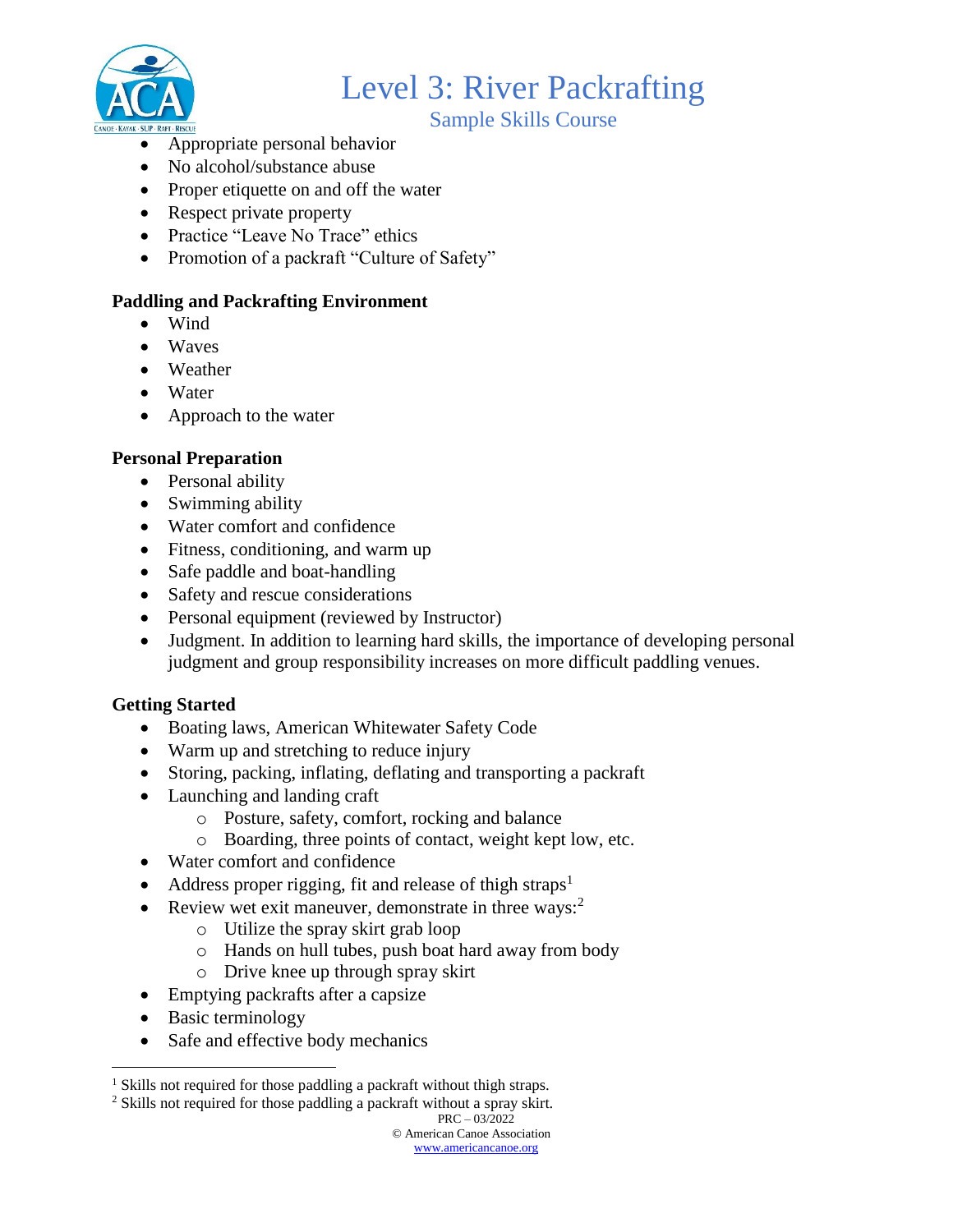

Sample Skills Course

- Appropriate personal behavior
- No alcohol/substance abuse
- Proper etiquette on and off the water
- Respect private property
- Practice "Leave No Trace" ethics
- Promotion of a packraft "Culture of Safety"

### **Paddling and Packrafting Environment**

- Wind
- Waves
- Weather
- Water
- Approach to the water

### **Personal Preparation**

- Personal ability
- Swimming ability
- Water comfort and confidence
- Fitness, conditioning, and warm up
- Safe paddle and boat-handling
- Safety and rescue considerations
- Personal equipment (reviewed by Instructor)
- Judgment. In addition to learning hard skills, the importance of developing personal judgment and group responsibility increases on more difficult paddling venues.

### **Getting Started**

- Boating laws, American Whitewater Safety Code
- Warm up and stretching to reduce injury
- Storing, packing, inflating, deflating and transporting a packraft
- Launching and landing craft
	- o Posture, safety, comfort, rocking and balance
	- o Boarding, three points of contact, weight kept low, etc.
- Water comfort and confidence
- Address proper rigging, fit and release of thigh straps<sup>1</sup>
- Review wet exit maneuver, demonstrate in three ways: $2$ 
	- o Utilize the spray skirt grab loop
	- o Hands on hull tubes, push boat hard away from body
	- o Drive knee up through spray skirt
- Emptying packrafts after a capsize
- Basic terminology

 $\overline{a}$ 

• Safe and effective body mechanics

<sup>2</sup> Skills not required for those paddling a packraft without a spray skirt.

<sup>&</sup>lt;sup>1</sup> Skills not required for those paddling a packraft without thigh straps.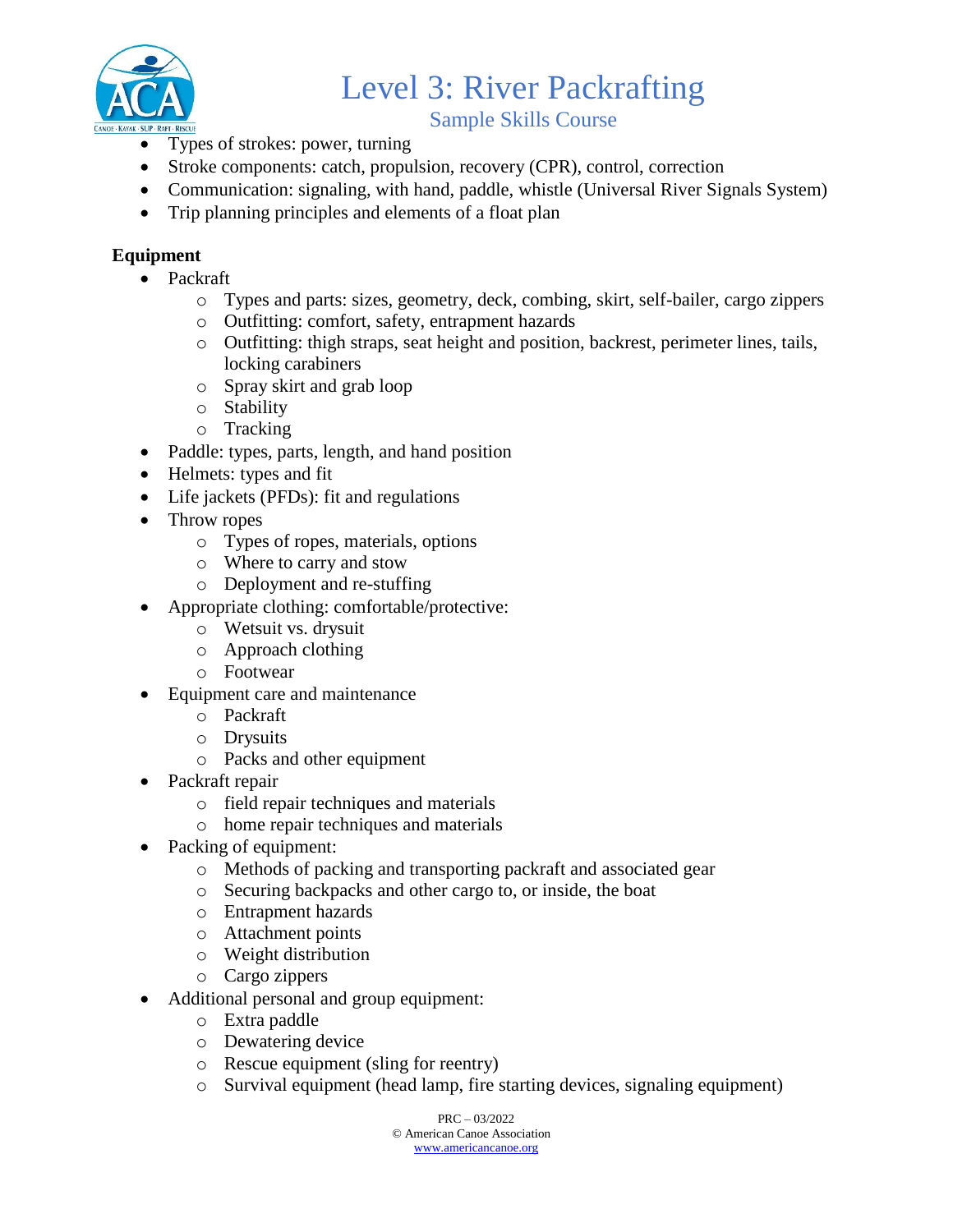

Sample Skills Course

- Types of strokes: power, turning
- Stroke components: catch, propulsion, recovery (CPR), control, correction
- Communication: signaling, with hand, paddle, whistle (Universal River Signals System)
- Trip planning principles and elements of a float plan

### **Equipment**

- Packraft
	- o Types and parts: sizes, geometry, deck, combing, skirt, self-bailer, cargo zippers
	- o Outfitting: comfort, safety, entrapment hazards
	- o Outfitting: thigh straps, seat height and position, backrest, perimeter lines, tails, locking carabiners
	- o Spray skirt and grab loop
	- o Stability
	- o Tracking
- Paddle: types, parts, length, and hand position
- Helmets: types and fit
- Life jackets (PFDs): fit and regulations
- Throw ropes
	- o Types of ropes, materials, options
	- o Where to carry and stow
	- o Deployment and re-stuffing
- Appropriate clothing: comfortable/protective:
	- o Wetsuit vs. drysuit
	- o Approach clothing
	- o Footwear
- Equipment care and maintenance
	- o Packraft
	- o Drysuits
	- o Packs and other equipment
- Packraft repair
	- o field repair techniques and materials
	- o home repair techniques and materials
- Packing of equipment:
	- o Methods of packing and transporting packraft and associated gear
	- o Securing backpacks and other cargo to, or inside, the boat
	- o Entrapment hazards
	- o Attachment points
	- o Weight distribution
	- o Cargo zippers
- Additional personal and group equipment:
	- o Extra paddle
	- o Dewatering device
	- o Rescue equipment (sling for reentry)
	- o Survival equipment (head lamp, fire starting devices, signaling equipment)

 $PRC = 03/2022$ © American Canoe Association [www.americancanoe.org](http://www.americancanoe.org/)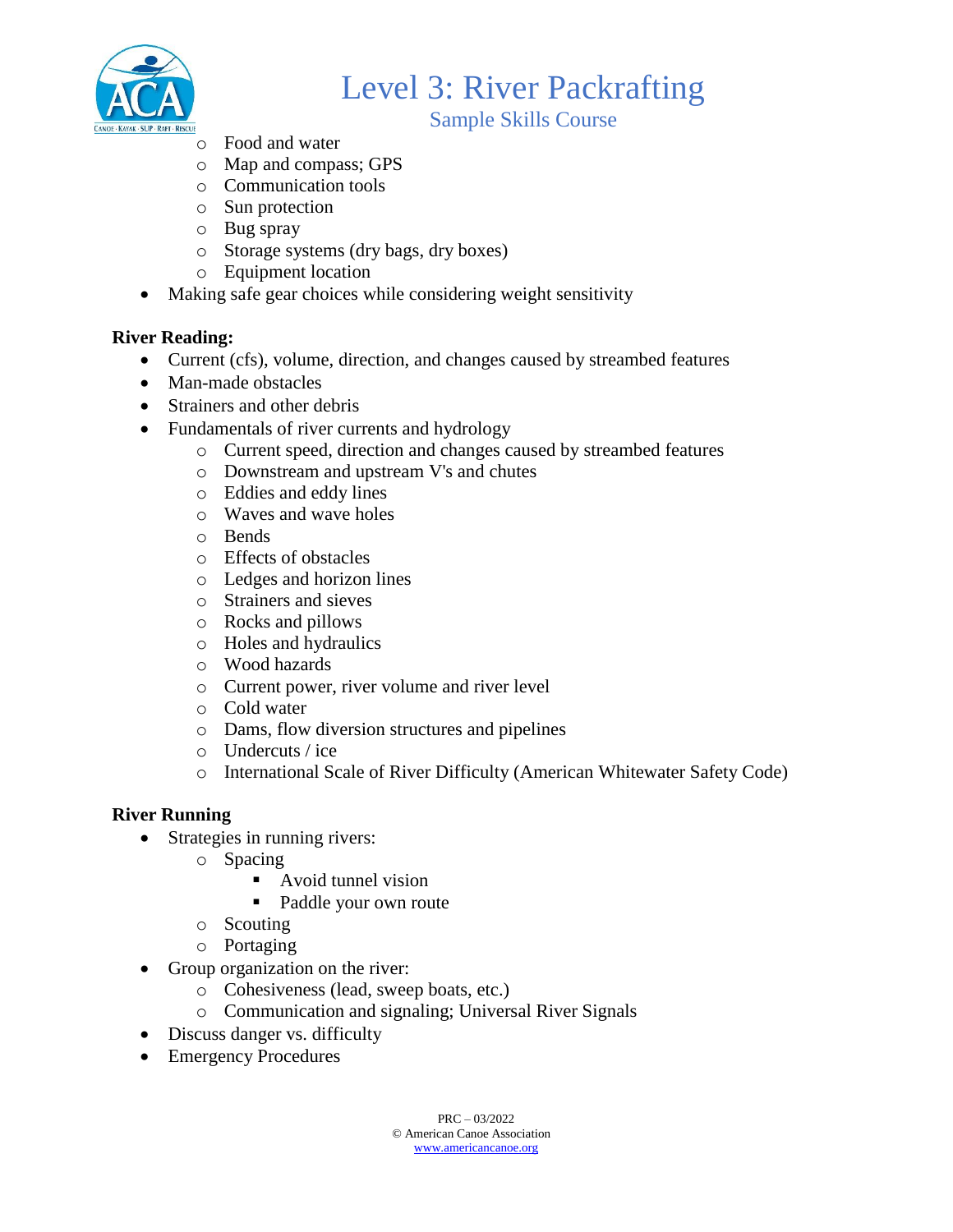

Sample Skills Course

- o Food and water
- o Map and compass; GPS
- o Communication tools
- o Sun protection
- o Bug spray
- o Storage systems (dry bags, dry boxes)
- o Equipment location
- Making safe gear choices while considering weight sensitivity

### **River Reading:**

- Current (cfs), volume, direction, and changes caused by streambed features
- Man-made obstacles
- Strainers and other debris
- Fundamentals of river currents and hydrology
	- o Current speed, direction and changes caused by streambed features
	- o Downstream and upstream V's and chutes
	- o Eddies and eddy lines
	- o Waves and wave holes
	- o Bends
	- o Effects of obstacles
	- o Ledges and horizon lines
	- o Strainers and sieves
	- o Rocks and pillows
	- o Holes and hydraulics
	- o Wood hazards
	- o Current power, river volume and river level
	- o Cold water
	- o Dams, flow diversion structures and pipelines
	- o Undercuts / ice
	- o International Scale of River Difficulty (American Whitewater Safety Code)

### **River Running**

- Strategies in running rivers:
	- o Spacing
		- Avoid tunnel vision
		- Paddle your own route
	- o Scouting
	- o Portaging
- Group organization on the river:
	- o Cohesiveness (lead, sweep boats, etc.)
	- o Communication and signaling; Universal River Signals
- Discuss danger vs. difficulty
- Emergency Procedures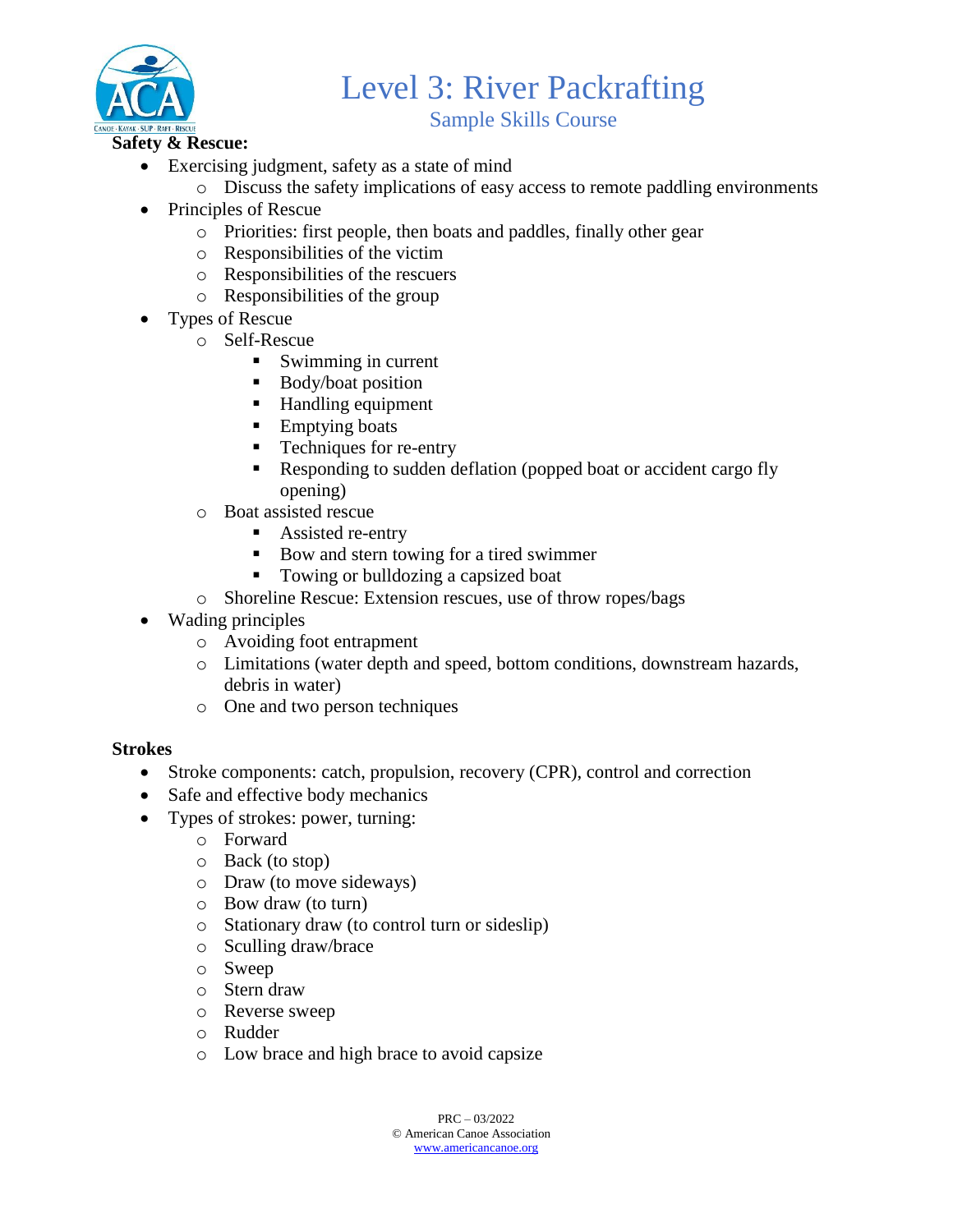

Sample Skills Course

- - Exercising judgment, safety as a state of mind
		- o Discuss the safety implications of easy access to remote paddling environments
	- Principles of Rescue
		- o Priorities: first people, then boats and paddles, finally other gear
		- o Responsibilities of the victim
		- o Responsibilities of the rescuers
		- o Responsibilities of the group
	- Types of Rescue
		- o Self-Rescue
			- Swimming in current
			- Body/boat position
			- Handling equipment
			- Emptying boats
			- Techniques for re-entry
			- Responding to sudden deflation (popped boat or accident cargo fly opening)
		- o Boat assisted rescue
			- Assisted re-entry
			- Bow and stern towing for a tired swimmer
			- Towing or bulldozing a capsized boat
		- o Shoreline Rescue: Extension rescues, use of throw ropes/bags
	- Wading principles
		- o Avoiding foot entrapment
		- o Limitations (water depth and speed, bottom conditions, downstream hazards, debris in water)
		- o One and two person techniques

### **Strokes**

- Stroke components: catch, propulsion, recovery (CPR), control and correction
- Safe and effective body mechanics
- Types of strokes: power, turning:
	- o Forward
	- o Back (to stop)
	- o Draw (to move sideways)
	- o Bow draw (to turn)
	- o Stationary draw (to control turn or sideslip)
	- o Sculling draw/brace
	- o Sweep
	- o Stern draw
	- o Reverse sweep
	- o Rudder
	- o Low brace and high brace to avoid capsize

 $PRC = 03/2022$ © American Canoe Association [www.americancanoe.org](http://www.americancanoe.org/)